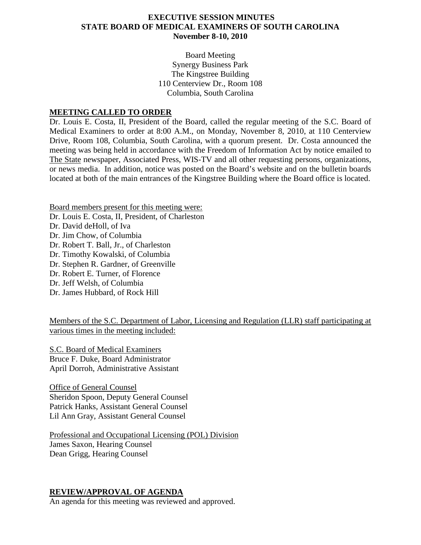### **EXECUTIVE SESSION MINUTES STATE BOARD OF MEDICAL EXAMINERS OF SOUTH CAROLINA November 8-10, 2010**

Board Meeting Synergy Business Park The Kingstree Building 110 Centerview Dr., Room 108 Columbia, South Carolina

#### **MEETING CALLED TO ORDER**

Dr. Louis E. Costa, II, President of the Board, called the regular meeting of the S.C. Board of Medical Examiners to order at 8:00 A.M., on Monday, November 8, 2010, at 110 Centerview Drive, Room 108, Columbia, South Carolina, with a quorum present. Dr. Costa announced the meeting was being held in accordance with the Freedom of Information Act by notice emailed to The State newspaper, Associated Press, WIS-TV and all other requesting persons, organizations, or news media. In addition, notice was posted on the Board's website and on the bulletin boards located at both of the main entrances of the Kingstree Building where the Board office is located.

Board members present for this meeting were: Dr. Louis E. Costa, II, President, of Charleston Dr. David deHoll, of Iva Dr. Jim Chow, of Columbia Dr. Robert T. Ball, Jr., of Charleston Dr. Timothy Kowalski, of Columbia Dr. Stephen R. Gardner, of Greenville Dr. Robert E. Turner, of Florence Dr. Jeff Welsh, of Columbia Dr. James Hubbard, of Rock Hill

Members of the S.C. Department of Labor, Licensing and Regulation (LLR) staff participating at various times in the meeting included:

S.C. Board of Medical Examiners Bruce F. Duke, Board Administrator April Dorroh, Administrative Assistant

Office of General Counsel Sheridon Spoon, Deputy General Counsel Patrick Hanks, Assistant General Counsel Lil Ann Gray, Assistant General Counsel

Professional and Occupational Licensing (POL) Division James Saxon, Hearing Counsel Dean Grigg, Hearing Counsel

#### **REVIEW/APPROVAL OF AGENDA**

An agenda for this meeting was reviewed and approved.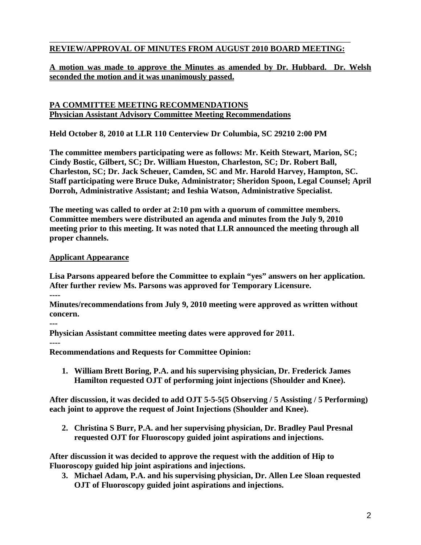#### \_\_\_\_\_\_\_\_\_\_\_\_\_\_\_\_\_\_\_\_\_\_\_\_\_\_\_\_\_\_\_\_\_\_\_\_\_\_\_\_\_\_\_\_\_\_\_\_\_\_\_\_\_\_\_\_\_\_\_\_\_\_\_\_\_\_\_\_\_\_\_\_\_ **REVIEW/APPROVAL OF MINUTES FROM AUGUST 2010 BOARD MEETING:**

### **A motion was made to approve the Minutes as amended by Dr. Hubbard. Dr. Welsh seconded the motion and it was unanimously passed.**

#### **PA COMMITTEE MEETING RECOMMENDATIONS Physician Assistant Advisory Committee Meeting Recommendations**

**Held October 8, 2010 at LLR 110 Centerview Dr Columbia, SC 29210 2:00 PM**

**The committee members participating were as follows: Mr. Keith Stewart, Marion, SC; Cindy Bostic, Gilbert, SC; Dr. William Hueston, Charleston, SC; Dr. Robert Ball, Charleston, SC; Dr. Jack Scheuer, Camden, SC and Mr. Harold Harvey, Hampton, SC. Staff participating were Bruce Duke, Administrator; Sheridon Spoon, Legal Counsel; April Dorroh, Administrative Assistant; and Ieshia Watson, Administrative Specialist.**

**The meeting was called to order at 2:10 pm with a quorum of committee members. Committee members were distributed an agenda and minutes from the July 9, 2010 meeting prior to this meeting. It was noted that LLR announced the meeting through all proper channels.**

#### **Applicant Appearance**

**Lisa Parsons appeared before the Committee to explain "yes" answers on her application. After further review Ms. Parsons was approved for Temporary Licensure.**

**----**

**Minutes/recommendations from July 9, 2010 meeting were approved as written without concern.**

**---**

**Physician Assistant committee meeting dates were approved for 2011.**

**----**

**Recommendations and Requests for Committee Opinion:**

**1. William Brett Boring, P.A. and his supervising physician, Dr. Frederick James Hamilton requested OJT of performing joint injections (Shoulder and Knee).**

**After discussion, it was decided to add OJT 5-5-5(5 Observing / 5 Assisting / 5 Performing) each joint to approve the request of Joint Injections (Shoulder and Knee).**

**2. Christina S Burr, P.A. and her supervising physician, Dr. Bradley Paul Presnal requested OJT for Fluoroscopy guided joint aspirations and injections.**

**After discussion it was decided to approve the request with the addition of Hip to Fluoroscopy guided hip joint aspirations and injections.**

**3. Michael Adam, P.A. and his supervising physician, Dr. Allen Lee Sloan requested OJT of Fluoroscopy guided joint aspirations and injections.**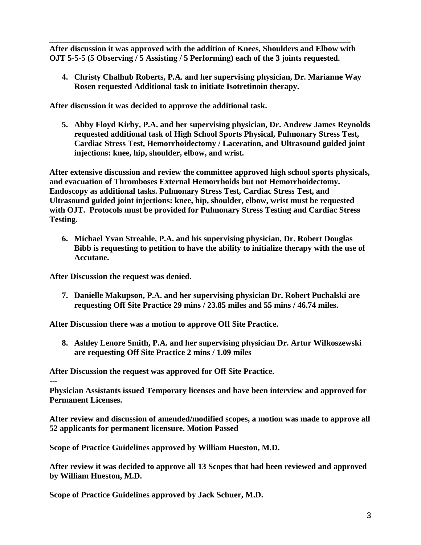**After discussion it was approved with the addition of Knees, Shoulders and Elbow with OJT 5-5-5 (5 Observing / 5 Assisting / 5 Performing) each of the 3 joints requested.**

\_\_\_\_\_\_\_\_\_\_\_\_\_\_\_\_\_\_\_\_\_\_\_\_\_\_\_\_\_\_\_\_\_\_\_\_\_\_\_\_\_\_\_\_\_\_\_\_\_\_\_\_\_\_\_\_\_\_\_\_\_\_\_\_\_\_\_\_\_\_\_\_\_

**4. Christy Chalhub Roberts, P.A. and her supervising physician, Dr. Marianne Way Rosen requested Additional task to initiate Isotretinoin therapy.**

**After discussion it was decided to approve the additional task.**

**5. Abby Floyd Kirby, P.A. and her supervising physician, Dr. Andrew James Reynolds requested additional task of High School Sports Physical, Pulmonary Stress Test, Cardiac Stress Test, Hemorrhoidectomy / Laceration, and Ultrasound guided joint injections: knee, hip, shoulder, elbow, and wrist.**

**After extensive discussion and review the committee approved high school sports physicals, and evacuation of Thromboses External Hemorrhoids but not Hemorrhoidectomy. Endoscopy as additional tasks. Pulmonary Stress Test, Cardiac Stress Test, and Ultrasound guided joint injections: knee, hip, shoulder, elbow, wrist must be requested with OJT. Protocols must be provided for Pulmonary Stress Testing and Cardiac Stress Testing.**

**6. Michael Yvan Streahle, P.A. and his supervising physician, Dr. Robert Douglas Bibb is requesting to petition to have the ability to initialize therapy with the use of Accutane.**

**After Discussion the request was denied.**

**7. Danielle Makupson, P.A. and her supervising physician Dr. Robert Puchalski are requesting Off Site Practice 29 mins / 23.85 miles and 55 mins / 46.74 miles.**

**After Discussion there was a motion to approve Off Site Practice.** 

**8. Ashley Lenore Smith, P.A. and her supervising physician Dr. Artur Wilkoszewski are requesting Off Site Practice 2 mins / 1.09 miles**

**After Discussion the request was approved for Off Site Practice.**

#### **---**

**Physician Assistants issued Temporary licenses and have been interview and approved for Permanent Licenses.**

**After review and discussion of amended/modified scopes, a motion was made to approve all 52 applicants for permanent licensure. Motion Passed**

**Scope of Practice Guidelines approved by William Hueston, M.D.**

**After review it was decided to approve all 13 Scopes that had been reviewed and approved by William Hueston, M.D.**

**Scope of Practice Guidelines approved by Jack Schuer, M.D.**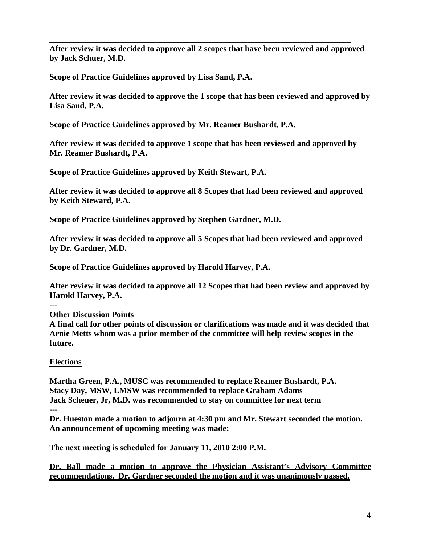**After review it was decided to approve all 2 scopes that have been reviewed and approved by Jack Schuer, M.D.**

\_\_\_\_\_\_\_\_\_\_\_\_\_\_\_\_\_\_\_\_\_\_\_\_\_\_\_\_\_\_\_\_\_\_\_\_\_\_\_\_\_\_\_\_\_\_\_\_\_\_\_\_\_\_\_\_\_\_\_\_\_\_\_\_\_\_\_\_\_\_\_\_\_

**Scope of Practice Guidelines approved by Lisa Sand, P.A.**

**After review it was decided to approve the 1 scope that has been reviewed and approved by Lisa Sand, P.A.**

**Scope of Practice Guidelines approved by Mr. Reamer Bushardt, P.A.**

**After review it was decided to approve 1 scope that has been reviewed and approved by Mr. Reamer Bushardt, P.A.**

**Scope of Practice Guidelines approved by Keith Stewart, P.A.**

**After review it was decided to approve all 8 Scopes that had been reviewed and approved by Keith Steward, P.A.**

**Scope of Practice Guidelines approved by Stephen Gardner, M.D.**

**After review it was decided to approve all 5 Scopes that had been reviewed and approved by Dr. Gardner, M.D.**

**Scope of Practice Guidelines approved by Harold Harvey, P.A.**

**After review it was decided to approve all 12 Scopes that had been review and approved by Harold Harvey, P.A.**

**--- Other Discussion Points**

**A final call for other points of discussion or clarifications was made and it was decided that Arnie Metts whom was a prior member of the committee will help review scopes in the future.** 

### **Elections**

**Martha Green, P.A., MUSC was recommended to replace Reamer Bushardt, P.A. Stacy Day, MSW, LMSW was recommended to replace Graham Adams Jack Scheuer, Jr, M.D. was recommended to stay on committee for next term ---**

**Dr. Hueston made a motion to adjourn at 4:30 pm and Mr. Stewart seconded the motion. An announcement of upcoming meeting was made:**

**The next meeting is scheduled for January 11, 2010 2:00 P.M.**

**Dr. Ball made a motion to approve the Physician Assistant's Advisory Committee recommendations. Dr. Gardner seconded the motion and it was unanimously passed.**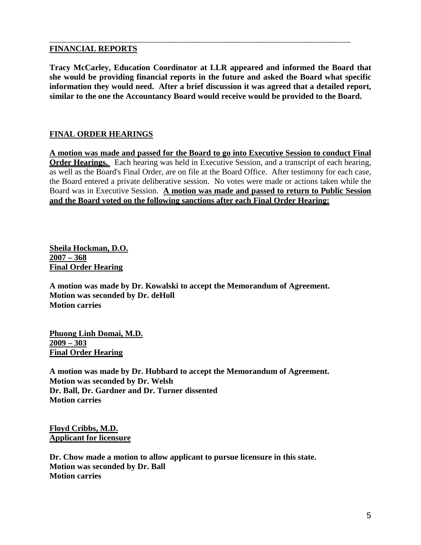#### **FINANCIAL REPORTS**

**Tracy McCarley, Education Coordinator at LLR appeared and informed the Board that she would be providing financial reports in the future and asked the Board what specific information they would need. After a brief discussion it was agreed that a detailed report, similar to the one the Accountancy Board would receive would be provided to the Board.**

\_\_\_\_\_\_\_\_\_\_\_\_\_\_\_\_\_\_\_\_\_\_\_\_\_\_\_\_\_\_\_\_\_\_\_\_\_\_\_\_\_\_\_\_\_\_\_\_\_\_\_\_\_\_\_\_\_\_\_\_\_\_\_\_\_\_\_\_\_\_\_\_\_

### **FINAL ORDER HEARINGS**

**A motion was made and passed for the Board to go into Executive Session to conduct Final Order Hearings.** Each hearing was held in Executive Session, and a transcript of each hearing, as well as the Board's Final Order, are on file at the Board Office. After testimony for each case, the Board entered a private deliberative session. No votes were made or actions taken while the Board was in Executive Session. **A motion was made and passed to return to Public Session and the Board voted on the following sanctions after each Final Order Hearing:**

**Sheila Hockman, D.O. 2007 – 368 Final Order Hearing**

**A motion was made by Dr. Kowalski to accept the Memorandum of Agreement. Motion was seconded by Dr. deHoll Motion carries**

**Phuong Linh Domai, M.D. 2009 – 303 Final Order Hearing**

**A motion was made by Dr. Hubbard to accept the Memorandum of Agreement. Motion was seconded by Dr. Welsh Dr. Ball, Dr. Gardner and Dr. Turner dissented Motion carries**

**Floyd Cribbs, M.D. Applicant for licensure**

**Dr. Chow made a motion to allow applicant to pursue licensure in this state. Motion was seconded by Dr. Ball Motion carries**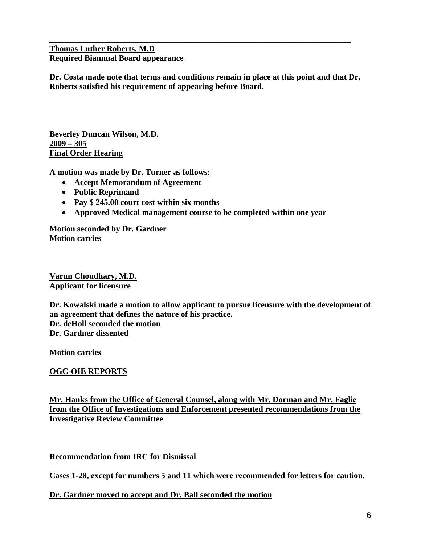#### **Thomas Luther Roberts, M.D Required Biannual Board appearance**

**Dr. Costa made note that terms and conditions remain in place at this point and that Dr. Roberts satisfied his requirement of appearing before Board.**

\_\_\_\_\_\_\_\_\_\_\_\_\_\_\_\_\_\_\_\_\_\_\_\_\_\_\_\_\_\_\_\_\_\_\_\_\_\_\_\_\_\_\_\_\_\_\_\_\_\_\_\_\_\_\_\_\_\_\_\_\_\_\_\_\_\_\_\_\_\_\_\_\_

**Beverley Duncan Wilson, M.D. 2009 – 305 Final Order Hearing**

**A motion was made by Dr. Turner as follows:**

- **Accept Memorandum of Agreement**
- **Public Reprimand**
- **Pay \$ 245.00 court cost within six months**
- **Approved Medical management course to be completed within one year**

**Motion seconded by Dr. Gardner Motion carries**

**Varun Choudhary, M.D. Applicant for licensure**

**Dr. Kowalski made a motion to allow applicant to pursue licensure with the development of an agreement that defines the nature of his practice. Dr. deHoll seconded the motion Dr. Gardner dissented**

**Motion carries**

**OGC-OIE REPORTS**

**Mr. Hanks from the Office of General Counsel, along with Mr. Dorman and Mr. Faglie from the Office of Investigations and Enforcement presented recommendations from the Investigative Review Committee** 

**Recommendation from IRC for Dismissal**

**Cases 1-28, except for numbers 5 and 11 which were recommended for letters for caution.**

**Dr. Gardner moved to accept and Dr. Ball seconded the motion**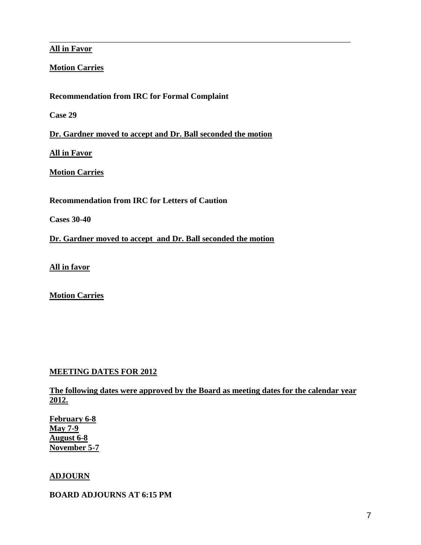#### **All in Favor**

### **Motion Carries**

**Recommendation from IRC for Formal Complaint**

**Case 29**

**Dr. Gardner moved to accept and Dr. Ball seconded the motion**

\_\_\_\_\_\_\_\_\_\_\_\_\_\_\_\_\_\_\_\_\_\_\_\_\_\_\_\_\_\_\_\_\_\_\_\_\_\_\_\_\_\_\_\_\_\_\_\_\_\_\_\_\_\_\_\_\_\_\_\_\_\_\_\_\_\_\_\_\_\_\_\_\_

**All in Favor**

**Motion Carries**

**Recommendation from IRC for Letters of Caution**

**Cases 30-40**

**Dr. Gardner moved to accept and Dr. Ball seconded the motion**

**All in favor**

**Motion Carries**

### **MEETING DATES FOR 2012**

**The following dates were approved by the Board as meeting dates for the calendar year 2012.**

**February 6-8 May 7-9 August 6-8 November 5-7** 

#### **ADJOURN**

#### **BOARD ADJOURNS AT 6:15 PM**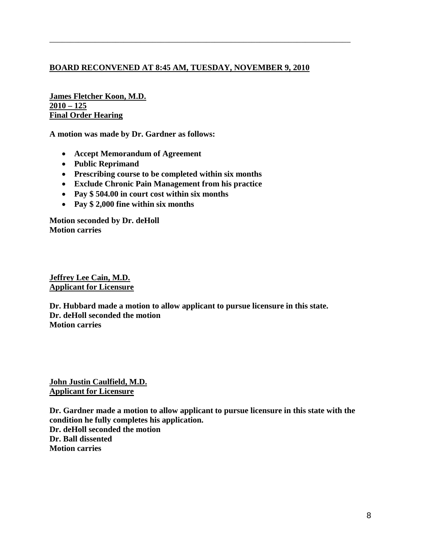### **BOARD RECONVENED AT 8:45 AM, TUESDAY, NOVEMBER 9, 2010**

\_\_\_\_\_\_\_\_\_\_\_\_\_\_\_\_\_\_\_\_\_\_\_\_\_\_\_\_\_\_\_\_\_\_\_\_\_\_\_\_\_\_\_\_\_\_\_\_\_\_\_\_\_\_\_\_\_\_\_\_\_\_\_\_\_\_\_\_\_\_\_\_\_

**James Fletcher Koon, M.D. 2010 – 125 Final Order Hearing**

**A motion was made by Dr. Gardner as follows:**

- **Accept Memorandum of Agreement**
- **Public Reprimand**
- **Prescribing course to be completed within six months**
- **Exclude Chronic Pain Management from his practice**
- **Pay \$ 504.00 in court cost within six months**
- **Pay \$ 2,000 fine within six months**

**Motion seconded by Dr. deHoll Motion carries**

**Jeffrey Lee Cain, M.D. Applicant for Licensure**

**Dr. Hubbard made a motion to allow applicant to pursue licensure in this state. Dr. deHoll seconded the motion Motion carries**

**John Justin Caulfield, M.D. Applicant for Licensure**

**Dr. Gardner made a motion to allow applicant to pursue licensure in this state with the condition he fully completes his application. Dr. deHoll seconded the motion Dr. Ball dissented Motion carries**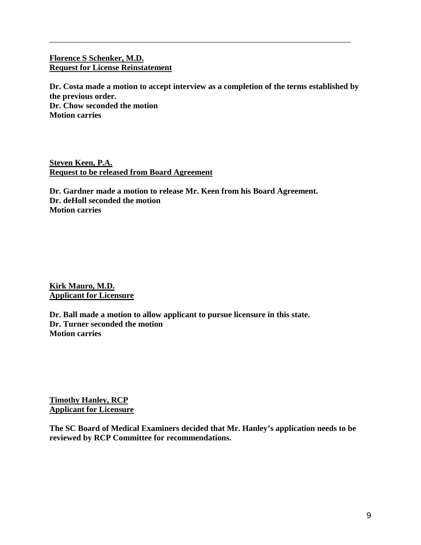#### **Florence S Schenker, M.D. Request for License Reinstatement**

**Dr. Costa made a motion to accept interview as a completion of the terms established by the previous order. Dr. Chow seconded the motion Motion carries**

\_\_\_\_\_\_\_\_\_\_\_\_\_\_\_\_\_\_\_\_\_\_\_\_\_\_\_\_\_\_\_\_\_\_\_\_\_\_\_\_\_\_\_\_\_\_\_\_\_\_\_\_\_\_\_\_\_\_\_\_\_\_\_\_\_\_\_\_\_\_\_\_\_

**Steven Keen, P.A. Request to be released from Board Agreement**

**Dr. Gardner made a motion to release Mr. Keen from his Board Agreement. Dr. deHoll seconded the motion Motion carries**

**Kirk Mauro, M.D. Applicant for Licensure**

**Dr. Ball made a motion to allow applicant to pursue licensure in this state. Dr. Turner seconded the motion Motion carries**

**Timothy Hanley, RCP Applicant for Licensure**

**The SC Board of Medical Examiners decided that Mr. Hanley's application needs to be reviewed by RCP Committee for recommendations.**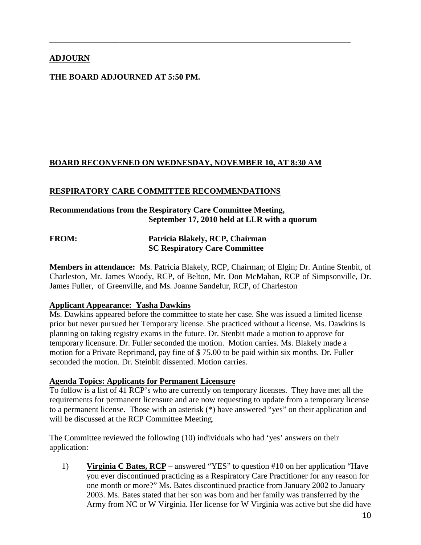# **ADJOURN**

## **THE BOARD ADJOURNED AT 5:50 PM.**

### **BOARD RECONVENED ON WEDNESDAY, NOVEMBER 10, AT 8:30 AM**

\_\_\_\_\_\_\_\_\_\_\_\_\_\_\_\_\_\_\_\_\_\_\_\_\_\_\_\_\_\_\_\_\_\_\_\_\_\_\_\_\_\_\_\_\_\_\_\_\_\_\_\_\_\_\_\_\_\_\_\_\_\_\_\_\_\_\_\_\_\_\_\_\_

#### **RESPIRATORY CARE COMMITTEE RECOMMENDATIONS**

### **Recommendations from the Respiratory Care Committee Meeting, September 17, 2010 held at LLR with a quorum**

### **FROM: Patricia Blakely, RCP, Chairman SC Respiratory Care Committee**

**Members in attendance:** Ms. Patricia Blakely, RCP, Chairman; of Elgin; Dr. Antine Stenbit, of Charleston, Mr. James Woody, RCP, of Belton, Mr. Don McMahan, RCP of Simpsonville, Dr. James Fuller, of Greenville, and Ms. Joanne Sandefur, RCP, of Charleston

#### **Applicant Appearance: Yasha Dawkins**

Ms. Dawkins appeared before the committee to state her case. She was issued a limited license prior but never pursued her Temporary license. She practiced without a license. Ms. Dawkins is planning on taking registry exams in the future. Dr. Stenbit made a motion to approve for temporary licensure. Dr. Fuller seconded the motion. Motion carries. Ms. Blakely made a motion for a Private Reprimand, pay fine of \$ 75.00 to be paid within six months. Dr. Fuller seconded the motion. Dr. Steinbit dissented. Motion carries.

#### **Agenda Topics: Applicants for Permanent Licensure**

To follow is a list of 41 RCP's who are currently on temporary licenses. They have met all the requirements for permanent licensure and are now requesting to update from a temporary license to a permanent license. Those with an asterisk (\*) have answered "yes" on their application and will be discussed at the RCP Committee Meeting.

The Committee reviewed the following (10) individuals who had 'yes' answers on their application:

1) **Virginia C Bates, RCP** – answered "YES" to question #10 on her application "Have you ever discontinued practicing as a Respiratory Care Practitioner for any reason for one month or more?" Ms. Bates discontinued practice from January 2002 to January 2003. Ms. Bates stated that her son was born and her family was transferred by the Army from NC or W Virginia. Her license for W Virginia was active but she did have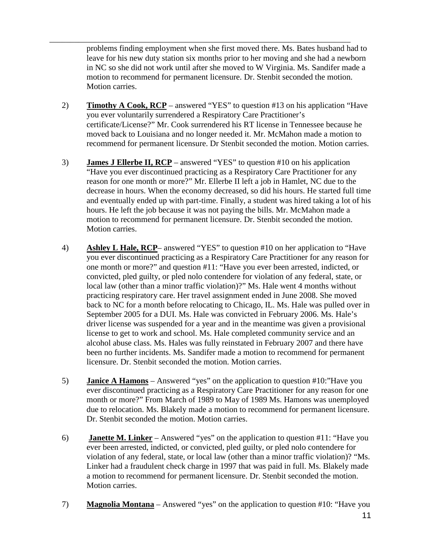problems finding employment when she first moved there. Ms. Bates husband had to leave for his new duty station six months prior to her moving and she had a newborn in NC so she did not work until after she moved to W Virginia. Ms. Sandifer made a motion to recommend for permanent licensure. Dr. Stenbit seconded the motion. Motion carries.

\_\_\_\_\_\_\_\_\_\_\_\_\_\_\_\_\_\_\_\_\_\_\_\_\_\_\_\_\_\_\_\_\_\_\_\_\_\_\_\_\_\_\_\_\_\_\_\_\_\_\_\_\_\_\_\_\_\_\_\_\_\_\_\_\_\_\_\_\_\_\_\_\_

- 2) **Timothy A Cook, RCP** answered "YES" to question #13 on his application "Have you ever voluntarily surrendered a Respiratory Care Practitioner's certificate/License?" Mr. Cook surrendered his RT license in Tennessee because he moved back to Louisiana and no longer needed it. Mr. McMahon made a motion to recommend for permanent licensure. Dr Stenbit seconded the motion. Motion carries.
- 3) **James J Ellerbe II, RCP** answered "YES" to question #10 on his application "Have you ever discontinued practicing as a Respiratory Care Practitioner for any reason for one month or more?" Mr. Ellerbe II left a job in Hamlet, NC due to the decrease in hours. When the economy decreased, so did his hours. He started full time and eventually ended up with part-time. Finally, a student was hired taking a lot of his hours. He left the job because it was not paying the bills. Mr. McMahon made a motion to recommend for permanent licensure. Dr. Stenbit seconded the motion. Motion carries.
- 4) **Ashley L Hale, RCP** answered "YES" to question #10 on her application to "Have you ever discontinued practicing as a Respiratory Care Practitioner for any reason for one month or more?" and question #11: "Have you ever been arrested, indicted, or convicted, pled guilty, or pled nolo contendere for violation of any federal, state, or local law (other than a minor traffic violation)?" Ms. Hale went 4 months without practicing respiratory care. Her travel assignment ended in June 2008. She moved back to NC for a month before relocating to Chicago, IL. Ms. Hale was pulled over in September 2005 for a DUI. Ms. Hale was convicted in February 2006. Ms. Hale's driver license was suspended for a year and in the meantime was given a provisional license to get to work and school. Ms. Hale completed community service and an alcohol abuse class. Ms. Hales was fully reinstated in February 2007 and there have been no further incidents. Ms. Sandifer made a motion to recommend for permanent licensure. Dr. Stenbit seconded the motion. Motion carries.
- 5) **Janice A Hamons** Answered "yes" on the application to question #10:"Have you ever discontinued practicing as a Respiratory Care Practitioner for any reason for one month or more?" From March of 1989 to May of 1989 Ms. Hamons was unemployed due to relocation. Ms. Blakely made a motion to recommend for permanent licensure. Dr. Stenbit seconded the motion. Motion carries.
- 6) **Janette M. Linker** Answered "yes" on the application to question #11: "Have you ever been arrested, indicted, or convicted, pled guilty, or pled nolo contendere for violation of any federal, state, or local law (other than a minor traffic violation)? "Ms. Linker had a fraudulent check charge in 1997 that was paid in full. Ms. Blakely made a motion to recommend for permanent licensure. Dr. Stenbit seconded the motion. Motion carries.
- 7) **Magnolia Montana** Answered "yes" on the application to question #10: "Have you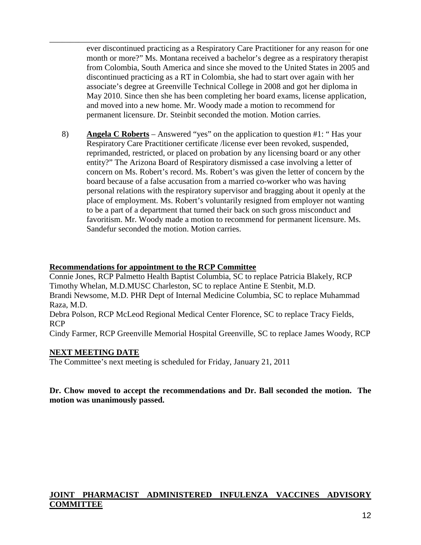ever discontinued practicing as a Respiratory Care Practitioner for any reason for one month or more?" Ms. Montana received a bachelor's degree as a respiratory therapist from Colombia, South America and since she moved to the United States in 2005 and discontinued practicing as a RT in Colombia, she had to start over again with her associate's degree at Greenville Technical College in 2008 and got her diploma in May 2010. Since then she has been completing her board exams, license application, and moved into a new home. Mr. Woody made a motion to recommend for permanent licensure. Dr. Steinbit seconded the motion. Motion carries.

\_\_\_\_\_\_\_\_\_\_\_\_\_\_\_\_\_\_\_\_\_\_\_\_\_\_\_\_\_\_\_\_\_\_\_\_\_\_\_\_\_\_\_\_\_\_\_\_\_\_\_\_\_\_\_\_\_\_\_\_\_\_\_\_\_\_\_\_\_\_\_\_\_

8) **Angela C Roberts** – Answered "yes" on the application to question #1: " Has your Respiratory Care Practitioner certificate /license ever been revoked, suspended, reprimanded, restricted, or placed on probation by any licensing board or any other entity?" The Arizona Board of Respiratory dismissed a case involving a letter of concern on Ms. Robert's record. Ms. Robert's was given the letter of concern by the board because of a false accusation from a married co-worker who was having personal relations with the respiratory supervisor and bragging about it openly at the place of employment. Ms. Robert's voluntarily resigned from employer not wanting to be a part of a department that turned their back on such gross misconduct and favoritism. Mr. Woody made a motion to recommend for permanent licensure. Ms. Sandefur seconded the motion. Motion carries.

#### **Recommendations for appointment to the RCP Committee**

Connie Jones, RCP Palmetto Health Baptist Columbia, SC to replace Patricia Blakely, RCP Timothy Whelan, M.D.MUSC Charleston, SC to replace Antine E Stenbit, M.D. Brandi Newsome, M.D. PHR Dept of Internal Medicine Columbia, SC to replace Muhammad Raza, M.D.

Debra Polson, RCP McLeod Regional Medical Center Florence, SC to replace Tracy Fields, RCP

Cindy Farmer, RCP Greenville Memorial Hospital Greenville, SC to replace James Woody, RCP

#### **NEXT MEETING DATE**

The Committee's next meeting is scheduled for Friday, January 21, 2011

#### **Dr. Chow moved to accept the recommendations and Dr. Ball seconded the motion. The motion was unanimously passed.**

### **JOINT PHARMACIST ADMINISTERED INFULENZA VACCINES ADVISORY COMMITTEE**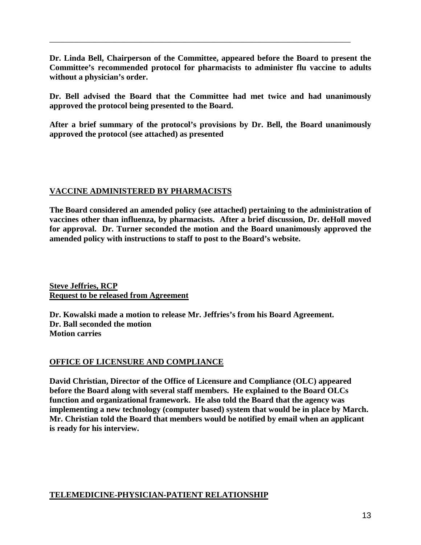**Dr. Linda Bell, Chairperson of the Committee, appeared before the Board to present the Committee's recommended protocol for pharmacists to administer flu vaccine to adults without a physician's order.**

\_\_\_\_\_\_\_\_\_\_\_\_\_\_\_\_\_\_\_\_\_\_\_\_\_\_\_\_\_\_\_\_\_\_\_\_\_\_\_\_\_\_\_\_\_\_\_\_\_\_\_\_\_\_\_\_\_\_\_\_\_\_\_\_\_\_\_\_\_\_\_\_\_

**Dr. Bell advised the Board that the Committee had met twice and had unanimously approved the protocol being presented to the Board.**

**After a brief summary of the protocol's provisions by Dr. Bell, the Board unanimously approved the protocol (see attached) as presented** 

### **VACCINE ADMINISTERED BY PHARMACISTS**

**The Board considered an amended policy (see attached) pertaining to the administration of vaccines other than influenza, by pharmacists. After a brief discussion, Dr. deHoll moved for approval. Dr. Turner seconded the motion and the Board unanimously approved the amended policy with instructions to staff to post to the Board's website.**

**Steve Jeffries, RCP Request to be released from Agreement**

**Dr. Kowalski made a motion to release Mr. Jeffries's from his Board Agreement. Dr. Ball seconded the motion Motion carries**

### **OFFICE OF LICENSURE AND COMPLIANCE**

**David Christian, Director of the Office of Licensure and Compliance (OLC) appeared before the Board along with several staff members. He explained to the Board OLCs function and organizational framework. He also told the Board that the agency was implementing a new technology (computer based) system that would be in place by March. Mr. Christian told the Board that members would be notified by email when an applicant is ready for his interview.** 

### **TELEMEDICINE-PHYSICIAN-PATIENT RELATIONSHIP**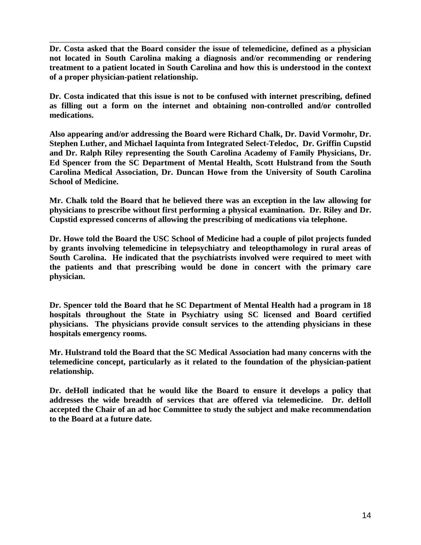**Dr. Costa asked that the Board consider the issue of telemedicine, defined as a physician not located in South Carolina making a diagnosis and/or recommending or rendering treatment to a patient located in South Carolina and how this is understood in the context of a proper physician-patient relationship.**

\_\_\_\_\_\_\_\_\_\_\_\_\_\_\_\_\_\_\_\_\_\_\_\_\_\_\_\_\_\_\_\_\_\_\_\_\_\_\_\_\_\_\_\_\_\_\_\_\_\_\_\_\_\_\_\_\_\_\_\_\_\_\_\_\_\_\_\_\_\_\_\_\_

**Dr. Costa indicated that this issue is not to be confused with internet prescribing, defined as filling out a form on the internet and obtaining non-controlled and/or controlled medications.**

**Also appearing and/or addressing the Board were Richard Chalk, Dr. David Vormohr, Dr. Stephen Luther, and Michael Iaquinta from Integrated Select-Teledoc, Dr. Griffin Cupstid and Dr. Ralph Riley representing the South Carolina Academy of Family Physicians, Dr. Ed Spencer from the SC Department of Mental Health, Scott Hulstrand from the South Carolina Medical Association, Dr. Duncan Howe from the University of South Carolina School of Medicine.**

**Mr. Chalk told the Board that he believed there was an exception in the law allowing for physicians to prescribe without first performing a physical examination. Dr. Riley and Dr. Cupstid expressed concerns of allowing the prescribing of medications via telephone.** 

**Dr. Howe told the Board the USC School of Medicine had a couple of pilot projects funded by grants involving telemedicine in telepsychiatry and teleopthamology in rural areas of South Carolina. He indicated that the psychiatrists involved were required to meet with the patients and that prescribing would be done in concert with the primary care physician.**

**Dr. Spencer told the Board that he SC Department of Mental Health had a program in 18 hospitals throughout the State in Psychiatry using SC licensed and Board certified physicians. The physicians provide consult services to the attending physicians in these hospitals emergency rooms.**

**Mr. Hulstrand told the Board that the SC Medical Association had many concerns with the telemedicine concept, particularly as it related to the foundation of the physician-patient relationship.**

**Dr. deHoll indicated that he would like the Board to ensure it develops a policy that addresses the wide breadth of services that are offered via telemedicine. Dr. deHoll accepted the Chair of an ad hoc Committee to study the subject and make recommendation to the Board at a future date.**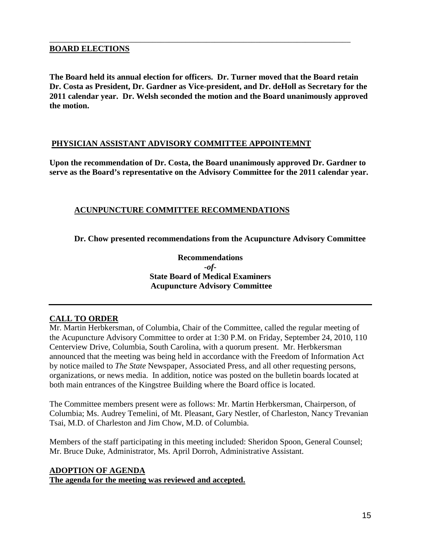#### **BOARD ELECTIONS**

**The Board held its annual election for officers. Dr. Turner moved that the Board retain Dr. Costa as President, Dr. Gardner as Vice-president, and Dr. deHoll as Secretary for the 2011 calendar year. Dr. Welsh seconded the motion and the Board unanimously approved the motion.**

\_\_\_\_\_\_\_\_\_\_\_\_\_\_\_\_\_\_\_\_\_\_\_\_\_\_\_\_\_\_\_\_\_\_\_\_\_\_\_\_\_\_\_\_\_\_\_\_\_\_\_\_\_\_\_\_\_\_\_\_\_\_\_\_\_\_\_\_\_\_\_\_\_

#### **PHYSICIAN ASSISTANT ADVISORY COMMITTEE APPOINTEMNT**

**Upon the recommendation of Dr. Costa, the Board unanimously approved Dr. Gardner to serve as the Board's representative on the Advisory Committee for the 2011 calendar year.**

### **ACUNPUNCTURE COMMITTEE RECOMMENDATIONS**

**Dr. Chow presented recommendations from the Acupuncture Advisory Committee**

**Recommendations** *-of-***State Board of Medical Examiners Acupuncture Advisory Committee**

### **CALL TO ORDER**

Mr. Martin Herbkersman, of Columbia, Chair of the Committee, called the regular meeting of the Acupuncture Advisory Committee to order at 1:30 P.M. on Friday, September 24, 2010, 110 Centerview Drive, Columbia, South Carolina, with a quorum present. Mr. Herbkersman announced that the meeting was being held in accordance with the Freedom of Information Act by notice mailed to *The State* Newspaper, Associated Press, and all other requesting persons, organizations, or news media. In addition, notice was posted on the bulletin boards located at both main entrances of the Kingstree Building where the Board office is located.

The Committee members present were as follows: Mr. Martin Herbkersman, Chairperson, of Columbia; Ms. Audrey Temelini, of Mt. Pleasant, Gary Nestler, of Charleston, Nancy Trevanian Tsai, M.D. of Charleston and Jim Chow, M.D. of Columbia.

Members of the staff participating in this meeting included: Sheridon Spoon, General Counsel; Mr. Bruce Duke, Administrator, Ms. April Dorroh, Administrative Assistant.

#### **ADOPTION OF AGENDA The agenda for the meeting was reviewed and accepted.**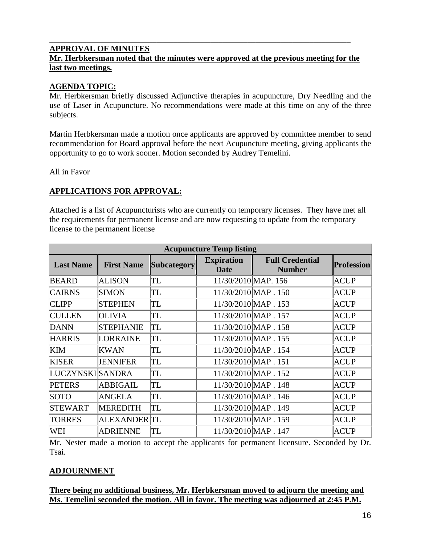#### **APPROVAL OF MINUTES Mr. Herbkersman noted that the minutes were approved at the previous meeting for the last two meetings.**

\_\_\_\_\_\_\_\_\_\_\_\_\_\_\_\_\_\_\_\_\_\_\_\_\_\_\_\_\_\_\_\_\_\_\_\_\_\_\_\_\_\_\_\_\_\_\_\_\_\_\_\_\_\_\_\_\_\_\_\_\_\_\_\_\_\_\_\_\_\_\_\_\_

# **AGENDA TOPIC:**

Mr. Herbkersman briefly discussed Adjunctive therapies in acupuncture, Dry Needling and the use of Laser in Acupuncture. No recommendations were made at this time on any of the three subjects.

Martin Herbkersman made a motion once applicants are approved by committee member to send recommendation for Board approval before the next Acupuncture meeting, giving applicants the opportunity to go to work sooner. Motion seconded by Audrey Temelini.

All in Favor

## **APPLICATIONS FOR APPROVAL:**

Attached is a list of Acupuncturists who are currently on temporary licenses. They have met all the requirements for permanent license and are now requesting to update from the temporary license to the permanent license

| <b>Acupuncture Temp listing</b> |                   |                    |                                  |                                         |                   |
|---------------------------------|-------------------|--------------------|----------------------------------|-----------------------------------------|-------------------|
| <b>Last Name</b>                | <b>First Name</b> | <b>Subcategory</b> | <b>Expiration</b><br><b>Date</b> | <b>Full Credential</b><br><b>Number</b> | <b>Profession</b> |
| <b>BEARD</b>                    | <b>ALISON</b>     | TL                 | 11/30/2010 MAP. 156              |                                         | ACUP              |
| <b>CAIRNS</b>                   | SIMON             | TL                 | 11/30/2010 MAP . 150             |                                         | ACUP              |
| <b>CLIPP</b>                    | <b>STEPHEN</b>    | TL                 | 11/30/2010 MAP . 153             |                                         | ACUP              |
| <b>CULLEN</b>                   | <b>OLIVIA</b>     | TL                 | 11/30/2010 MAP . 157             |                                         | ACUP              |
| <b>DANN</b>                     | <b>STEPHANIE</b>  | TL                 | 11/30/2010 MAP . 158             |                                         | ACUP              |
| <b>HARRIS</b>                   | LORRAINE          | TL                 | 11/30/2010 MAP . 155             |                                         | ACUP              |
| <b>KIM</b>                      | KWAN              | TL                 | 11/30/2010 MAP . 154             |                                         | ACUP              |
| <b>KISER</b>                    | <b>JENNIFER</b>   | TL                 | 11/30/2010 MAP . 151             |                                         | <b>ACUP</b>       |
| LUCZYNSKI SANDRA                |                   | TL                 | 11/30/2010 MAP . 152             |                                         | <b>ACUP</b>       |
| <b>PETERS</b>                   | ABBIGAIL          | TL                 | 11/30/2010 MAP . 148             |                                         | ACUP              |
| <b>SOTO</b>                     | ANGELA            | TL                 | 11/30/2010 MAP . 146             |                                         | ACUP              |
| <b>STEWART</b>                  | <b>MEREDITH</b>   | TL                 | 11/30/2010 MAP . 149             |                                         | ACUP              |
| <b>TORRES</b>                   | ALEXANDER  TL     |                    | 11/30/2010 MAP . 159             |                                         | ACUP              |
| <b>WEI</b>                      | <b>ADRIENNE</b>   | TL                 | 11/30/2010 MAP . 147             |                                         | ACUP              |

Mr. Nester made a motion to accept the applicants for permanent licensure. Seconded by Dr. Tsai.

# **ADJOURNMENT**

**There being no additional business, Mr. Herbkersman moved to adjourn the meeting and Ms. Temelini seconded the motion. All in favor. The meeting was adjourned at 2:45 P.M.**